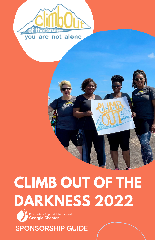

# **CLIMB OUT OF THE DARKNESS 2022**



**SPONSORSHIP GUIDE**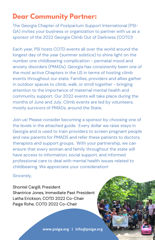## **Dear Community Partner:**

The Georgia Chapter of Postpartum Support International (PSI-GA) invites your business or organization to partner with us as a sponsor of the 2022 Georgia Climb Out of Darkness (COTD)!

Each year, PSI hosts COTD events all over the world around the longest day of the year (summer solstice) to shine light on the number one childbearing complication - perinatal mood and anxiety disorders (PMADs). Georgia has consistently been one of the most active Chapters in the US in terms of hosting climb events throughout our state. Families, providers and allies gather in outdoor spaces to climb, walk, or stroll together - bringing attention to the importance of maternal mental health and community support. Our 2022 events will take place during the months of June and July. Climb events are led by volunteers, mostly survivors of PMADs, around the State.

Join us! Please consider becoming a sponsor by choosing one of the levels in the attached guide. Every dollar we raise stays in Georgia and is used to train providers to screen pregnant people and new parents for PMADS and refer these patients to doctors, therapists and support groups. With your partnership, we can ensure that every woman and family throughout the state will have access to information, social support, and informed professional care to deal with mental health issues related to childbearing. We appreciate your consideration!

Sincerely,

Shontel Cargill, President Shantrice Jones, Immediate Past President Latha Erickson, COTD 2022 Co-Chair Paige Rohe, COTD 2022 Co-Chair

**www.psiga.org | info@psiga.org**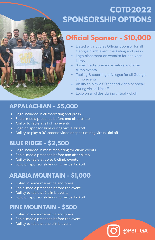# **COTD2022 SPONSORSHIP OPTIONS**

## **Official Sponsor - \$10,000**

- Listed with logo as Official Sponsor for all Georgia climb event marketing and press
- Logo placement on website for one year linked
- Social media presence before and after climb events
- Tabling & speaking privileges for all Georgia climb events
- Ability to play a 90 second video or speak during virtual kickoff

**@PSI\_GA**

Logo on all slides during virtual kickoff

#### **APPALACHIAN - \$5,000**

- Logo included in all marketing and press
- Social media presence before and after climb
- Ability to table at all climb events
- Logo on sponsor slide during virtual kickoff
- Ability to play a 90 second video or speak during virtual kickoff

#### **BLUE RIDGE - \$2,500**

- Logo included in most marketing for climb events
- Social media presence before and after climb
- Ability to table at up to 5 climb events
- Logo on sponsor slide during virtual kickoff

#### **ARABIA MOUNTAIN - \$1,000**

- Listed in some marketing and press
- Social media presence before the event
- Ability to table at 2 climb events
- Logo on sponsor slide during virtual kickoff

#### **PINE MOUNTAIN - \$500**

- Listed in some marketing and press
- Social media presence before the event
- Ability to table at one climb event